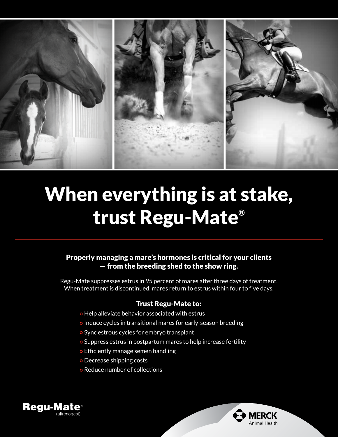

# When everything is at stake, trust Regu-Mate®

# Properly managing a mare's hormones is critical for your clients — from the breeding shed to the show ring.

Regu-Mate suppresses estrus in 95 percent of mares after three days of treatment. When treatment is discontinued, mares return to estrus within four to five days.

## Trust Regu-Mate to:

- o Help alleviate behavior associated with estrus
- o Induce cycles in transitional mares for early-season breeding
- Sync estrous cycles for embryo transplant
- o Suppress estrus in postpartum mares to help increase fertility
- o Efficiently manage semen handling
- Decrease shipping costs
- Reduce number of collections